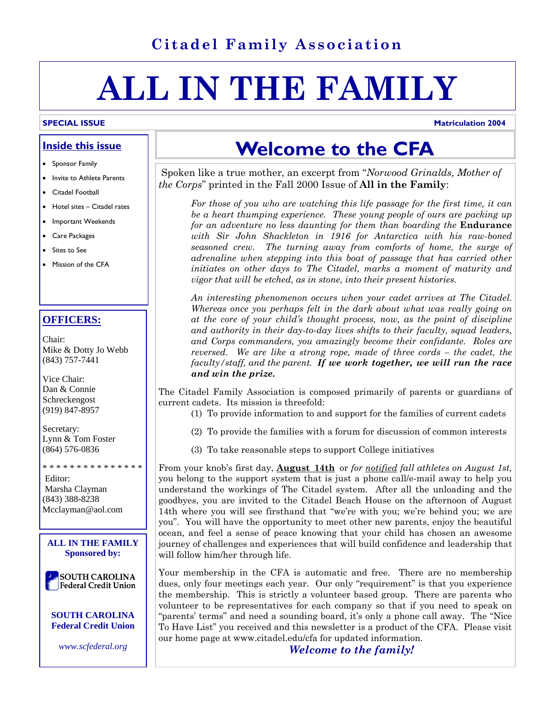### **Citadel Family Association**

# **ALL IN THE FAMILY**

#### **Inside this issue**

- Sponsor Family
- Invite to Athlete Parents
- Citadel Football
- Hotel sites Citadel rates
- Important Weekends
- Care Packages
- Sites to See
- Mission of the CFA

#### **OFFICERS:**

Chair: Mike & Dotty Jo Webb (843) 757-7441

Vice Chair: Dan & Connie Schreckengost (919) 847-8957

Secretary: Lynn & Tom Foster (864) 576-0836

 Editor: Marsha Clayman (843) 388-8238 Mcclayman@aol.com

\* \* \* \* \* \* \* \* \* \* \* \* \* \* \*



## **Welcome to the CFA**

 Spoken like a true mother, an excerpt from "*Norwood Grinalds, Mother of the Corps*" printed in the Fall 2000 Issue of **All in the Family**:

 *For those of you who are watching this life passage for the first time, it can be a heart thumping experience. These young people of ours are packing up for an adventure no less daunting for them than boarding the* **Endurance**  *with Sir John Shackleton in 1916 for Antarctica with his raw-boned seasoned crew. The turning away from comforts of home, the surge of adrenaline when stepping into this boat of passage that has carried other initiates on other days to The Citadel, marks a moment of maturity and vigor that will be etched, as in stone, into their present histories.* 

 *An interesting phenomenon occurs when your cadet arrives at The Citadel. Whereas once you perhaps felt in the dark about what was really going on at the core of your child's thought process, now, as the point of discipline and authority in their day-to-day lives shifts to their faculty, squad leaders, and Corps commanders, you amazingly become their confidante. Roles are reversed. We are like a strong rope, made of three cords – the cadet, the faculty/staff, and the parent. If we work together, we will run the race and win the prize.* 

The Citadel Family Association is composed primarily of parents or guardians of current cadets. Its mission is threefold:

- (1) To provide information to and support for the families of current cadets
- (2) To provide the families with a forum for discussion of common interests
- (3) To take reasonable steps to support College initiatives

From your knob's first day, **August 14th** or *for notified fall athletes on August 1st,* you belong to the support system that is just a phone call/e-mail away to help you understand the workings of The Citadel system. After all the unloading and the goodbyes, you are invited to the Citadel Beach House on the afternoon of August 14th where you will see firsthand that "we're with you; we're behind you; we are you". You will have the opportunity to meet other new parents, enjoy the beautiful ocean, and feel a sense of peace knowing that your child has chosen an awesome journey of challenges and experiences that will build confidence and leadership that will follow him/her through life.

Your membership in the CFA is automatic and free. There are no membership dues, only four meetings each year. Our only "requirement" is that you experience the membership. This is strictly a volunteer based group. There are parents who volunteer to be representatives for each company so that if you need to speak on "parents' terms" and need a sounding board, it's only a phone call away. The "Nice To Have List" you received and this newsletter is a product of the CFA. Please visit our home page at www.citadel.edu/cfa for updated information.

*Welcome to the family!*

#### **SPECIAL ISSUE** Matriculation 2004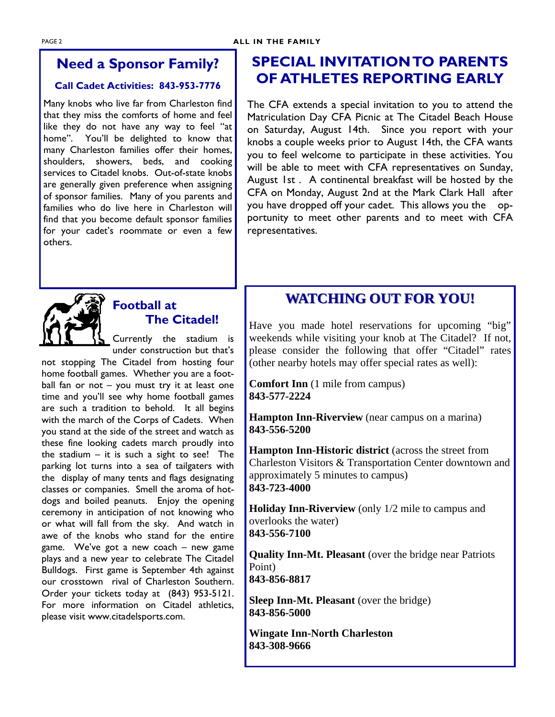### **Need a Sponsor Family?**

### **Call Cadet Activities: 843-953-7776**

Many knobs who live far from Charleston find that they miss the comforts of home and feel like they do not have any way to feel "at home". You'll be delighted to know that many Charleston families offer their homes, shoulders, showers, beds, and cooking services to Citadel knobs. Out-of-state knobs are generally given preference when assigning of sponsor families. Many of you parents and families who do live here in Charleston will find that you become default sponsor families for your cadet's roommate or even a few others.

### **SPECIAL INVITATION TO PARENTS OF ATHLETES REPORTING EARLY**

The CFA extends a special invitation to you to attend the Matriculation Day CFA Picnic at The Citadel Beach House on Saturday, August 14th. Since you report with your knobs a couple weeks prior to August 14th, the CFA wants you to feel welcome to participate in these activities. You will be able to meet with CFA representatives on Sunday, August 1st . A continental breakfast will be hosted by the CFA on Monday, August 2nd at the Mark Clark Hall after you have dropped off your cadet. This allows you the opportunity to meet other parents and to meet with CFA representatives.



### **Football at The Citadel!**

Currently the stadium is under construction but that's

not stopping The Citadel from hosting four home football games. Whether you are a football fan or not – you must try it at least one time and you'll see why home football games are such a tradition to behold. It all begins with the march of the Corps of Cadets. When you stand at the side of the street and watch as these fine looking cadets march proudly into the stadium  $-$  it is such a sight to see! The parking lot turns into a sea of tailgaters with the display of many tents and flags designating classes or companies. Smell the aroma of hotdogs and boiled peanuts. Enjoy the opening ceremony in anticipation of not knowing who or what will fall from the sky. And watch in awe of the knobs who stand for the entire game. We've got a new coach – new game plays and a new year to celebrate The Citadel Bulldogs. First game is September 4th against our crosstown rival of Charleston Southern. Order your tickets today at (843) 953-5121. For more information on Citadel athletics, please visit www.citadelsports.com.

### **WATCHING OUT FOR YOU! WATCHING OUT FOR YOU!**

Have you made hotel reservations for upcoming "big" weekends while visiting your knob at The Citadel? If not, please consider the following that offer "Citadel" rates (other nearby hotels may offer special rates as well):

**Comfort Inn** (1 mile from campus) **843-577-2224** 

**Hampton Inn-Riverview** (near campus on a marina) **843-556-5200** 

**Hampton Inn-Historic district** (across the street from Charleston Visitors & Transportation Center downtown and approximately 5 minutes to campus) **843-723-4000** 

**Holiday Inn-Riverview** (only 1/2 mile to campus and overlooks the water) **843-556-7100** 

**Quality Inn-Mt. Pleasant** (over the bridge near Patriots Point) **843-856-8817** 

**Sleep Inn-Mt. Pleasant** (over the bridge) **843-856-5000** 

**Wingate Inn-North Charleston 843-308-9666**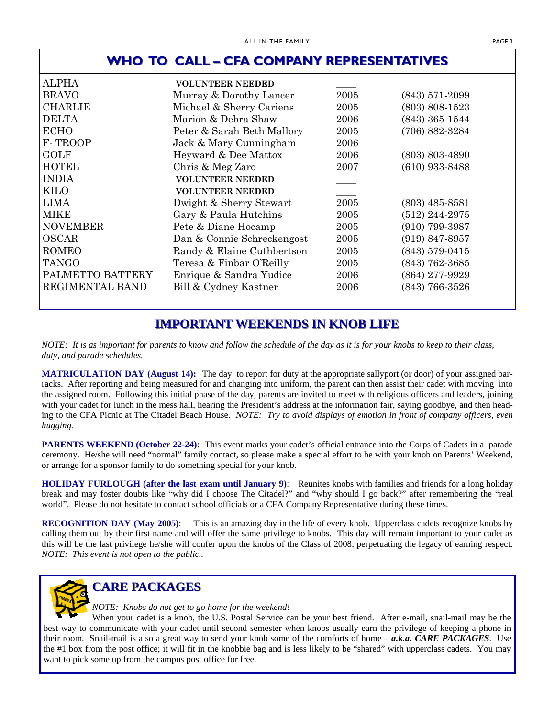| WHO TO CALL - CFA COMPANY REPRESENTATIVES |                            |      |                    |  |
|-------------------------------------------|----------------------------|------|--------------------|--|
| <b>ALPHA</b>                              | <b>VOLUNTEER NEEDED</b>    |      |                    |  |
| <b>BRAVO</b>                              | Murray & Dorothy Lancer    | 2005 | $(843)$ 571-2099   |  |
| <b>CHARLIE</b>                            | Michael & Sherry Cariens   | 2005 | $(803) 808 - 1523$ |  |
| <b>DELTA</b>                              | Marion & Debra Shaw        | 2006 | $(843)$ 365-1544   |  |
| <b>ECHO</b>                               | Peter & Sarah Beth Mallory | 2005 | $(706) 882 - 3284$ |  |
| F-TROOP                                   | Jack & Mary Cunningham     | 2006 |                    |  |
| <b>GOLF</b>                               | Heyward & Dee Mattox       | 2006 | $(803)$ 803-4890   |  |
| <b>HOTEL</b>                              | Chris & Meg Zaro           | 2007 | $(610)$ 933-8488   |  |
| <b>INDIA</b>                              | <b>VOLUNTEER NEEDED</b>    |      |                    |  |
| <b>KILO</b>                               | <b>VOLUNTEER NEEDED</b>    |      |                    |  |
| <b>LIMA</b>                               | Dwight & Sherry Stewart    | 2005 | $(803)$ 485-8581   |  |
| <b>MIKE</b>                               | Gary & Paula Hutchins      | 2005 | $(512)$ 244-2975   |  |
| <b>NOVEMBER</b>                           | Pete & Diane Hocamp        | 2005 | $(910)$ 799-3987   |  |
| <b>OSCAR</b>                              | Dan & Connie Schreckengost | 2005 | $(919) 847 - 8957$ |  |
| <b>ROMEO</b>                              | Randy & Elaine Cuthbertson | 2005 | (843) 579-0415     |  |
| <b>TANGO</b>                              | Teresa & Finbar O'Reilly   | 2005 | $(843)$ 762-3685   |  |
| PALMETTO BATTERY                          | Enrique & Sandra Yudice    | 2006 | (864) 277-9929     |  |
| REGIMENTAL BAND                           | Bill & Cydney Kastner      | 2006 | (843) 766-3526     |  |
|                                           |                            |      |                    |  |

### **IMPORTANT WEEKENDS IN KNOB LIFE**

*NOTE: It is as important for parents to know and follow the schedule of the day as it is for your knobs to keep to their class, duty, and parade schedules.* 

**MATRICULATION DAY (August 14):** The day to report for duty at the appropriate sallyport (or door) of your assigned barracks. After reporting and being measured for and changing into uniform, the parent can then assist their cadet with moving into the assigned room. Following this initial phase of the day, parents are invited to meet with religious officers and leaders, joining with your cadet for lunch in the mess hall, hearing the President's address at the information fair, saying goodbye, and then heading to the CFA Picnic at The Citadel Beach House. *NOTE: Try to avoid displays of emotion in front of company officers, even hugging.* 

**PARENTS WEEKEND (October 22-24):** This event marks your cadet's official entrance into the Corps of Cadets in a parade ceremony. He/she will need "normal" family contact, so please make a special effort to be with your knob on Parents' Weekend, or arrange for a sponsor family to do something special for your knob.

**HOLIDAY FURLOUGH (after the last exam until January 9)**: Reunites knobs with families and friends for a long holiday break and may foster doubts like "why did I choose The Citadel?" and "why should I go back?" after remembering the "real world". Please do not hesitate to contact school officials or a CFA Company Representative during these times.

**RECOGNITION DAY (May 2005)**: This is an amazing day in the life of every knob. Upperclass cadets recognize knobs by calling them out by their first name and will offer the same privilege to knobs. This day will remain important to your cadet as this will be the last privilege he/she will confer upon the knobs of the Class of 2008, perpetuating the legacy of earning respect. *NOTE: This event is not open to the public..* 



### **CARE PACKAGES CARE PACKAGES**

*NOTE: Knobs do not get to go home for the weekend!* 

When your cadet is a knob, the U.S. Postal Service can be your best friend. After e-mail, snail-mail may be the best way to communicate with your cadet until second semester when knobs usually earn the privilege of keeping a phone in their room. Snail-mail is also a great way to send your knob some of the comforts of home – *a.k.a. CARE PACKAGES*. Use the #1 box from the post office; it will fit in the knobbie bag and is less likely to be "shared" with upperclass cadets. You may want to pick some up from the campus post office for free.